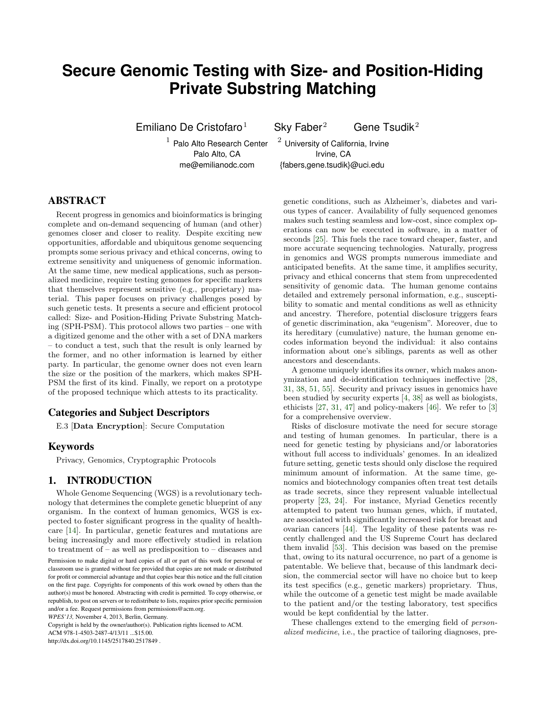# **Secure Genomic Testing with Size- and Position-Hiding Private Substring Matching**

 $1$  Palo Alto Research Center  $2$  University of California, Irvine

Emiliano De Cristofaro<sup>1</sup> Sky Faber<sup>2</sup> Gene Tsudik<sup>2</sup>

Palo Alto, CA **Irvine**, CA

me@emilianodc.com {fabers,gene.tsudik}@uci.edu

# ABSTRACT

Recent progress in genomics and bioinformatics is bringing complete and on-demand sequencing of human (and other) genomes closer and closer to reality. Despite exciting new opportunities, affordable and ubiquitous genome sequencing prompts some serious privacy and ethical concerns, owing to extreme sensitivity and uniqueness of genomic information. At the same time, new medical applications, such as personalized medicine, require testing genomes for specific markers that themselves represent sensitive (e.g., proprietary) material. This paper focuses on privacy challenges posed by such genetic tests. It presents a secure and efficient protocol called: Size- and Position-Hiding Private Substring Matching (SPH-PSM). This protocol allows two parties – one with a digitized genome and the other with a set of DNA markers – to conduct a test, such that the result is only learned by the former, and no other information is learned by either party. In particular, the genome owner does not even learn the size or the position of the markers, which makes SPH-PSM the first of its kind. Finally, we report on a prototype of the proposed technique which attests to its practicality.

#### Categories and Subject Descriptors

E.3 [Data Encryption]: Secure Computation

## Keywords

Privacy, Genomics, Cryptographic Protocols

#### 1. INTRODUCTION

Whole Genome Sequencing (WGS) is a revolutionary technology that determines the complete genetic blueprint of any organism. In the context of human genomics, WGS is expected to foster significant progress in the quality of healthcare [\[14\]](#page-8-0). In particular, genetic features and mutations are being increasingly and more effectively studied in relation to treatment of – as well as predisposition to – diseases and

Copyright is held by the owner/author(s). Publication rights licensed to ACM.

ACM 978-1-4503-2487-4/13/11 ...\$15.00.

http://dx.doi.org/10.1145/2517840.2517849 .

genetic conditions, such as Alzheimer's, diabetes and various types of cancer. Availability of fully sequenced genomes makes such testing seamless and low-cost, since complex operations can now be executed in software, in a matter of seconds [\[25\]](#page-9-0). This fuels the race toward cheaper, faster, and more accurate sequencing technologies. Naturally, progress in genomics and WGS prompts numerous immediate and anticipated benefits. At the same time, it amplifies security, privacy and ethical concerns that stem from unprecedented sensitivity of genomic data. The human genome contains detailed and extremely personal information, e.g., susceptibility to somatic and mental conditions as well as ethnicity and ancestry. Therefore, potential disclosure triggers fears of genetic discrimination, aka "eugenism". Moreover, due to its hereditary (cumulative) nature, the human genome encodes information beyond the individual: it also contains information about one's siblings, parents as well as other ancestors and descendants.

A genome uniquely identifies its owner, which makes anonymization and de-identification techniques ineffective [\[28,](#page-9-1) [31,](#page-9-2) [38,](#page-9-3) [51,](#page-9-4) [55\]](#page-9-5). Security and privacy issues in genomics have been studied by security experts [\[4,](#page-8-1) [38\]](#page-9-3) as well as biologists, ethicists [\[27,](#page-9-6) [31,](#page-9-2) [47\]](#page-9-7) and policy-makers [\[46\]](#page-9-8). We refer to [\[3\]](#page-8-2) for a comprehensive overview.

Risks of disclosure motivate the need for secure storage and testing of human genomes. In particular, there is a need for genetic testing by physicians and/or laboratories without full access to individuals' genomes. In an idealized future setting, genetic tests should only disclose the required minimum amount of information. At the same time, genomics and biotechnology companies often treat test details as trade secrets, since they represent valuable intellectual property [\[23,](#page-9-9) [24\]](#page-9-10). For instance, Myriad Genetics recently attempted to patent two human genes, which, if mutated, are associated with significantly increased risk for breast and ovarian cancers [\[44\]](#page-9-11). The legality of these patents was recently challenged and the US Supreme Court has declared them invalid [\[53\]](#page-9-12). This decision was based on the premise that, owing to its natural occurrence, no part of a genome is patentable. We believe that, because of this landmark decision, the commercial sector will have no choice but to keep its test specifics (e.g., genetic markers) proprietary. Thus, while the outcome of a genetic test might be made available to the patient and/or the testing laboratory, test specifics would be kept confidential by the latter.

These challenges extend to the emerging field of personalized medicine, i.e., the practice of tailoring diagnoses, pre-

Permission to make digital or hard copies of all or part of this work for personal or classroom use is granted without fee provided that copies are not made or distributed for profit or commercial advantage and that copies bear this notice and the full citation on the first page. Copyrights for components of this work owned by others than the author(s) must be honored. Abstracting with credit is permitted. To copy otherwise, or republish, to post on servers or to redistribute to lists, requires prior specific permission and/or a fee. Request permissions from permissions@acm.org.

*WPES'13,* November 4, 2013, Berlin, Germany.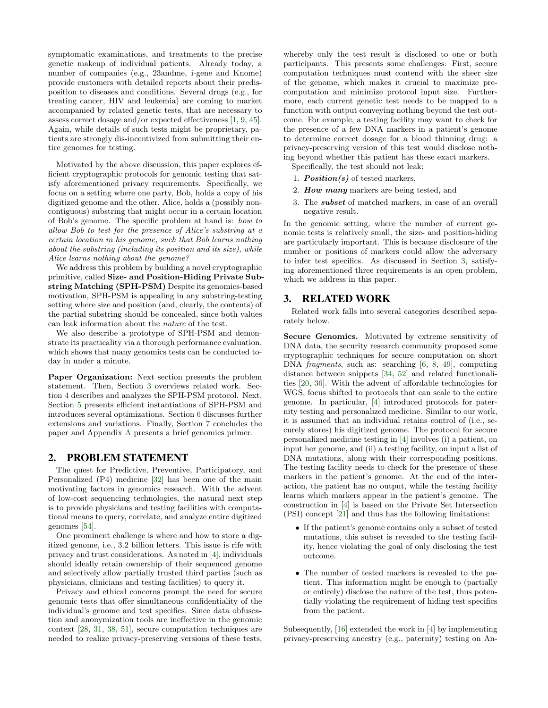symptomatic examinations, and treatments to the precise genetic makeup of individual patients. Already today, a number of companies (e.g., 23andme, i-gene and Knome) provide customers with detailed reports about their predisposition to diseases and conditions. Several drugs (e.g., for treating cancer, HIV and leukemia) are coming to market accompanied by related genetic tests, that are necessary to assess correct dosage and/or expected effectiveness [\[1,](#page-8-3) [9,](#page-8-4) [45\]](#page-9-13). Again, while details of such tests might be proprietary, patients are strongly dis-incentivized from submitting their entire genomes for testing.

Motivated by the above discussion, this paper explores efficient cryptographic protocols for genomic testing that satisfy aforementioned privacy requirements. Specifically, we focus on a setting where one party, Bob, holds a copy of his digitized genome and the other, Alice, holds a (possibly noncontiguous) substring that might occur in a certain location of Bob's genome. The specific problem at hand is: how to allow Bob to test for the presence of Alice's substring at a certain location in his genome, such that Bob learns nothing about the substring (including its position and its size), while Alice learns nothing about the genome?

We address this problem by building a novel cryptographic primitive, called Size- and Position-Hiding Private Substring Matching (SPH-PSM) Despite its genomics-based motivation, SPH-PSM is appealing in any substring-testing setting where size and position (and, clearly, the contents) of the partial substring should be concealed, since both values can leak information about the nature of the test.

We also describe a prototype of SPH-PSM and demonstrate its practicality via a thorough performance evaluation, which shows that many genomics tests can be conducted today in under a minute.

Paper Organization: Next section presents the problem statement. Then, Section [3](#page-1-0) overviews related work. Section [4](#page-2-0) describes and analyzes the SPH-PSM protocol. Next, Section [5](#page-5-0) presents efficient instantiations of SPH-PSM and introduces several optimizations. Section [6](#page-6-0) discusses further extensions and variations. Finally, Section [7](#page-8-5) concludes the paper and Appendix [A](#page-10-0) presents a brief genomics primer.

#### 2. PROBLEM STATEMENT

The quest for Predictive, Preventive, Participatory, and Personalized (P4) medicine [\[32\]](#page-9-14) has been one of the main motivating factors in genomics research. With the advent of low-cost sequencing technologies, the natural next step is to provide physicians and testing facilities with computational means to query, correlate, and analyze entire digitized genomes [\[54\]](#page-9-15).

One prominent challenge is where and how to store a digitized genome, i.e., 3.2 billion letters. This issue is rife with privacy and trust considerations. As noted in [\[4\]](#page-8-1), individuals should ideally retain ownership of their sequenced genome and selectively allow partially trusted third parties (such as physicians, clinicians and testing facilities) to query it.

Privacy and ethical concerns prompt the need for secure genomic tests that offer simultaneous confidentiality of the individual's genome and test specifics. Since data obfuscation and anonymization tools are ineffective in the genomic context [\[28,](#page-9-1) [31,](#page-9-2) [38,](#page-9-3) [51\]](#page-9-4), secure computation techniques are needed to realize privacy-preserving versions of these tests,

whereby only the test result is disclosed to one or both participants. This presents some challenges: First, secure computation techniques must contend with the sheer size of the genome, which makes it crucial to maximize precomputation and minimize protocol input size. Furthermore, each current genetic test needs to be mapped to a function with output conveying nothing beyond the test outcome. For example, a testing facility may want to check for the presence of a few DNA markers in a patient's genome to determine correct dosage for a blood thinning drug: a privacy-preserving version of this test would disclose nothing beyond whether this patient has these exact markers.

Specifically, the test should not leak:

- 1. **Position**(s) of tested markers,
- 2. How many markers are being tested, and
- 3. The subset of matched markers, in case of an overall negative result.

In the genomic setting, where the number of current genomic tests is relatively small, the size- and position-hiding are particularly important. This is because disclosure of the number or positions of markers could allow the adversary to infer test specifics. As discussed in Section [3,](#page-1-0) satisfying aforementioned three requirements is an open problem, which we address in this paper.

## <span id="page-1-0"></span>3. RELATED WORK

Related work falls into several categories described separately below.

Secure Genomics. Motivated by extreme sensitivity of DNA data, the security research community proposed some cryptographic techniques for secure computation on short DNA fragments, such as: searching [\[6,](#page-8-6) [8,](#page-8-7) [49\]](#page-9-16), computing distance between snippets [\[34,](#page-9-17) [52\]](#page-9-18) and related functionalities [\[20,](#page-9-19) [36\]](#page-9-20). With the advent of affordable technologies for WGS, focus shifted to protocols that can scale to the entire genome. In particular, [\[4\]](#page-8-1) introduced protocols for paternity testing and personalized medicine. Similar to our work, it is assumed that an individual retains control of (i.e., securely stores) his digitized genome. The protocol for secure personalized medicine testing in [\[4\]](#page-8-1) involves (i) a patient, on input her genome, and (ii) a testing facility, on input a list of DNA mutations, along with their corresponding positions. The testing facility needs to check for the presence of these markers in the patient's genome. At the end of the interaction, the patient has no output, while the testing facility learns which markers appear in the patient's genome. The construction in [\[4\]](#page-8-1) is based on the Private Set Intersection (PSI) concept [\[21\]](#page-9-21) and thus has the following limitations:

- If the patient's genome contains only a subset of tested mutations, this subset is revealed to the testing facility, hence violating the goal of only disclosing the test outcome.
- The number of tested markers is revealed to the patient. This information might be enough to (partially or entirely) disclose the nature of the test, thus potentially violating the requirement of hiding test specifics from the patient.

Subsequently, [\[16\]](#page-9-22) extended the work in [\[4\]](#page-8-1) by implementing privacy-preserving ancestry (e.g., paternity) testing on An-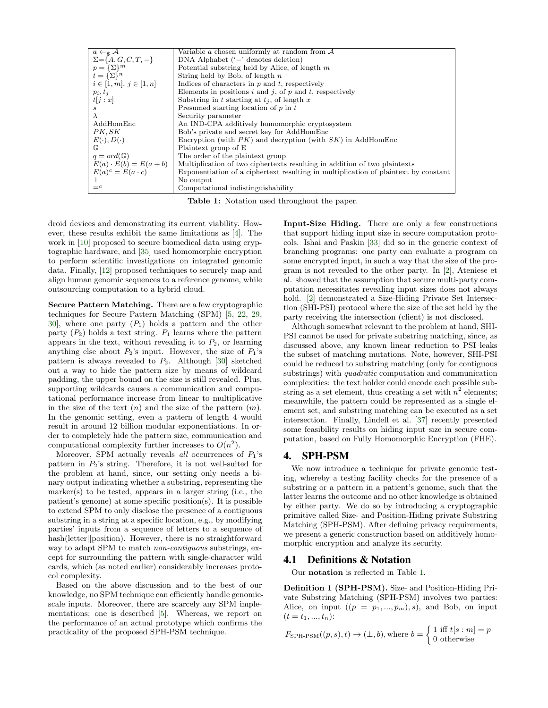<span id="page-2-1"></span>

| $a \leftarrow_s \mathcal{A}$ | Variable $a$ chosen uniformly at random from $A$                                    |
|------------------------------|-------------------------------------------------------------------------------------|
| $\Sigma = \{A, G, C, T, -\}$ | DNA Alphabet $( - )$ denotes deletion)                                              |
| $p = {\{\Sigma\}}^m$         | Potential substring held by Alice, of length $m$                                    |
| $t = {\{\Sigma\}}^n$         | String held by Bob, of length $n$                                                   |
| $i \in [1, m], j \in [1, n]$ | Indices of characters in $p$ and $t$ , respectively                                 |
| $p_i, t_i$                   | Elements in positions $i$ and $j$ , of $p$ and $t$ , respectively                   |
| t[j:x]                       | Substring in t starting at $t_i$ , of length x                                      |
| s                            | Presumed starting location of $p$ in $t$                                            |
| $\lambda$                    | Security parameter                                                                  |
| AddHomEnc                    | An IND-CPA additively homomorphic cryptosystem                                      |
| PK.SK                        | Bob's private and secret key for AddHomEnc                                          |
| $E(\cdot), D(\cdot)$         | Encryption (with $PK$ ) and decryption (with $SK$ ) in AddHomEnc                    |
| $\mathbb{G}$                 | Plaintext group of E                                                                |
| $q = ord(\mathbb{G})$        | The order of the plaintext group                                                    |
| $E(a) \cdot E(b) = E(a+b)$   | Multiplication of two ciphertexts resulting in addition of two plaintexts           |
| $E(a)^c = E(a \cdot c)$      | Exponentiation of a ciphertext resulting in multiplication of plaintext by constant |
|                              | No output                                                                           |
| $\equiv^c$                   | Computational indistinguishability                                                  |

Table 1: Notation used throughout the paper.

droid devices and demonstrating its current viability. However, these results exhibit the same limitations as [\[4\]](#page-8-1). The work in [\[10\]](#page-8-8) proposed to secure biomedical data using cryptographic hardware, and [\[35\]](#page-9-23) used homomorphic encryption to perform scientific investigations on integrated genomic data. Finally, [\[12\]](#page-8-9) proposed techniques to securely map and align human genomic sequences to a reference genome, while outsourcing computation to a hybrid cloud.

Secure Pattern Matching. There are a few cryptographic techniques for Secure Pattern Matching (SPM) [\[5,](#page-8-10) [22,](#page-9-24) [29,](#page-9-25) [30\]](#page-9-26), where one party  $(P_1)$  holds a pattern and the other party  $(P_2)$  holds a text string.  $P_1$  learns where the pattern appears in the text, without revealing it to  $P_2$ , or learning anything else about  $P_2$ 's input. However, the size of  $P_1$ 's pattern is always revealed to  $P_2$ . Although [\[30\]](#page-9-26) sketched out a way to hide the pattern size by means of wildcard padding, the upper bound on the size is still revealed. Plus, supporting wildcards causes a communication and computational performance increase from linear to multiplicative in the size of the text  $(n)$  and the size of the pattern  $(m)$ . In the genomic setting, even a pattern of length 4 would result in around 12 billion modular exponentiations. In order to completely hide the pattern size, communication and computational complexity further increases to  $O(n^2)$ .

Moreover, SPM actually reveals *all* occurrences of  $P_1$ 's pattern in  $P_2$ 's string. Therefore, it is not well-suited for the problem at hand, since, our setting only needs a binary output indicating whether a substring, representing the marker(s) to be tested, appears in a larger string (i.e., the patient's genome) at some specific position(s). It is possible to extend SPM to only disclose the presence of a contiguous substring in a string at a specific location, e.g., by modifying parties' inputs from a sequence of letters to a sequence of hash(letter||position). However, there is no straightforward way to adapt SPM to match *non-contiguous* substrings, except for surrounding the pattern with single-character wild cards, which (as noted earlier) considerably increases protocol complexity.

Based on the above discussion and to the best of our knowledge, no SPM technique can efficiently handle genomicscale inputs. Moreover, there are scarcely any SPM implementations; one is described [\[5\]](#page-8-10). Whereas, we report on the performance of an actual prototype which confirms the practicality of the proposed SPH-PSM technique.

Input-Size Hiding. There are only a few constructions that support hiding input size in secure computation protocols. Ishai and Paskin [\[33\]](#page-9-27) did so in the generic context of branching programs: one party can evaluate a program on some encrypted input, in such a way that the size of the program is not revealed to the other party. In [\[2\]](#page-8-11), Ateniese et al. showed that the assumption that secure multi-party computation necessitates revealing input sizes does not always hold. [\[2\]](#page-8-11) demonstrated a Size-Hiding Private Set Intersection (SHI-PSI) protocol where the size of the set held by the party receiving the intersection (client) is not disclosed.

Although somewhat relevant to the problem at hand, SHI-PSI cannot be used for private substring matching, since, as discussed above, any known linear reduction to PSI leaks the subset of matching mutations. Note, however, SHI-PSI could be reduced to substring matching (only for contiguous substrings) with quadratic computation and communication complexities: the text holder could encode each possible substring as a set element, thus creating a set with  $n^2$  elements; meanwhile, the pattern could be represented as a single element set, and substring matching can be executed as a set intersection. Finally, Lindell et al. [\[37\]](#page-9-28) recently presented some feasibility results on hiding input size in secure computation, based on Fully Homomorphic Encryption (FHE).

#### <span id="page-2-0"></span>4. SPH-PSM

We now introduce a technique for private genomic testing, whereby a testing facility checks for the presence of a substring or a pattern in a patient's genome, such that the latter learns the outcome and no other knowledge is obtained by either party. We do so by introducing a cryptographic primitive called Size- and Position-Hiding private Substring Matching (SPH-PSM). After defining privacy requirements, we present a generic construction based on additively homomorphic encryption and analyze its security.

#### 4.1 Definitions & Notation

Our notation is reflected in Table [1.](#page-2-1)

Definition 1 (SPH-PSM). Size- and Position-Hiding Private Substring Matching (SPH-PSM) involves two parties: Alice, on input  $((p = p_1, ..., p_m), s)$ , and Bob, on input  $(t = t_1, ..., t_n):$ 

$$
F_{\text{SPH-PSM}}((p, s), t) \to (\perp, b), \text{where } b = \begin{cases} 1 \text{ iff } t[s : m] = p \\ 0 \text{ otherwise} \end{cases}
$$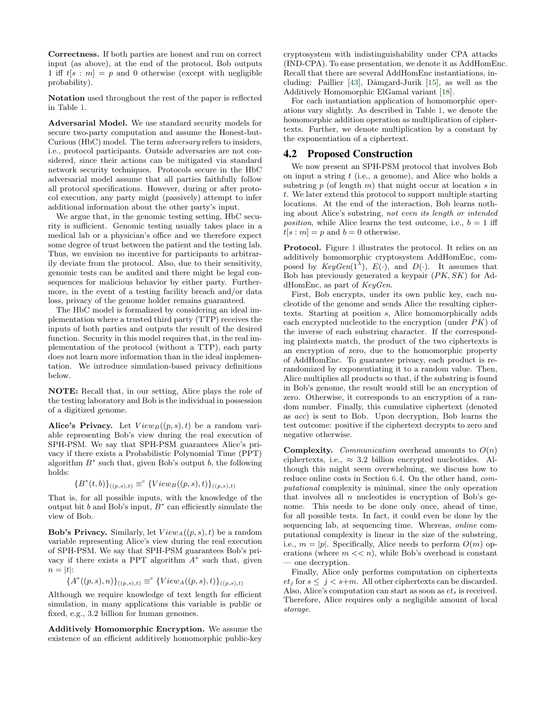Correctness. If both parties are honest and run on correct input (as above), at the end of the protocol, Bob outputs 1 iff  $t[s : m] = p$  and 0 otherwise (except with negligible probability).

Notation used throughout the rest of the paper is reflected in Table [1.](#page-2-1)

Adversarial Model. We use standard security models for secure two-party computation and assume the Honest-but-Curious (HbC) model. The term adversary refers to insiders, i.e., protocol participants. Outside adversaries are not considered, since their actions can be mitigated via standard network security techniques. Protocols secure in the HbC adversarial model assume that all parties faithfully follow all protocol specifications. However, during or after protocol execution, any party might (passively) attempt to infer additional information about the other party's input.

We argue that, in the genomic testing setting, HbC security is sufficient. Genomic testing usually takes place in a medical lab or a physician's office and we therefore expect some degree of trust between the patient and the testing lab. Thus, we envision no incentive for participants to arbitrarily deviate from the protocol. Also, due to their sensitivity, genomic tests can be audited and there might be legal consequences for malicious behavior by either party. Furthermore, in the event of a testing facility breach and/or data loss, privacy of the genome holder remains guaranteed.

The HbC model is formalized by considering an ideal implementation where a trusted third party (TTP) receives the inputs of both parties and outputs the result of the desired function. Security in this model requires that, in the real implementation of the protocol (without a TTP), each party does not learn more information than in the ideal implementation. We introduce simulation-based privacy definitions below.

NOTE: Recall that, in our setting, Alice plays the role of the testing laboratory and Bob is the individual in possession of a digitized genome.

Alice's Privacy. Let  $View_B((p, s), t)$  be a random variable representing Bob's view during the real execution of SPH-PSM. We say that SPH-PSM guarantees Alice's privacy if there exists a Probabilistic Polynomial Time (PPT) algorithm  $B^*$  such that, given Bob's output  $b$ , the following holds:

$$
\{B^*(t,b)\}_{((p,s),t)} \equiv^c \{View_B((p,s),t)\}_{((p,s),t)}
$$

That is, for all possible inputs, with the knowledge of the output bit  $b$  and Bob's input,  $B^*$  can efficiently simulate the view of Bob.

**Bob's Privacy.** Similarly, let  $View_A((p, s), t)$  be a random variable representing Alice's view during the real execution of SPH-PSM. We say that SPH-PSM guarantees Bob's privacy if there exists a PPT algorithm  $A^*$  such that, given  $n = |t|$ :

$$
\{A^*((p,s),n)\}_{((p,s),t)} \equiv^c \{View_A((p,s),t)\}_{((p,s),t)}
$$

Although we require knowledge of text length for efficient simulation, in many applications this variable is public or fixed, e.g., 3.2 billion for human genomes.

Additively Homomorphic Encryption. We assume the existence of an efficient additively homomorphic public-key

cryptosystem with indistinguishability under CPA attacks (IND-CPA). To ease presentation, we denote it as AddHomEnc. Recall that there are several AddHomEnc instantiations, including: Paillier  $[43]$ , Dåmgard-Jurik  $[15]$ , as well as the Additively Homomorphic ElGamal variant [\[18\]](#page-9-30).

For each instantiation application of homomorphic operations vary slightly. As described in Table [1,](#page-2-1) we denote the homomorphic addition operation as multiplication of ciphertexts. Further, we denote multiplication by a constant by the exponentiation of a ciphertext.

#### 4.2 Proposed Construction

We now present an SPH-PSM protocol that involves Bob on input a string  $t$  (i.e., a genome), and Alice who holds a substring  $p$  (of length  $m$ ) that might occur at location  $s$  in t. We later extend this protocol to support multiple starting locations. At the end of the interaction, Bob learns nothing about Alice's substring, not even its length or intended *position*, while Alice learns the test outcome, i.e.,  $b = 1$  iff  $t[s : m] = p$  and  $b = 0$  otherwise.

Protocol. Figure [1](#page-4-0) illustrates the protocol. It relies on an additively homomorphic cryptosystem AddHomEnc, composed by  $KeyGen(1^{\lambda}), E(\cdot), \text{ and } D(\cdot).$  It assumes that Bob has previously generated a keypair  $(PK, SK)$  for AddHomEnc, as part of KeyGen.

First, Bob encrypts, under its own public key, each nucleotide of the genome and sends Alice the resulting ciphertexts. Starting at position s, Alice homomorphically adds each encrypted nucleotide to the encryption (under  $PK$ ) of the inverse of each substring character. If the corresponding plaintexts match, the product of the two ciphertexts is an encryption of zero, due to the homomorphic property of AddHomEnc. To guarantee privacy, each product is rerandomized by exponentiating it to a random value. Then, Alice multiplies all products so that, if the substring is found in Bob's genome, the result would still be an encryption of zero. Otherwise, it corresponds to an encryption of a random number. Finally, this cumulative ciphertext (denoted as acc) is sent to Bob. Upon decryption, Bob learns the test outcome: positive if the ciphertext decrypts to zero and negative otherwise.

**Complexity.** *Communication* overhead amounts to  $O(n)$ ciphertexts, i.e.,  $\approx 3.2$  billion encrypted nucleotides. Although this might seem overwhelming, we discuss how to reduce online costs in Section [6.4.](#page-7-0) On the other hand, computational complexity is minimal, since the only operation that involves all  $n$  nucleotides is encryption of Bob's genome. This needs to be done only once, ahead of time, for all possible tests. In fact, it could even be done by the sequencing lab, at sequencing time. Whereas, online computational complexity is linear in the size of the substring, i.e.,  $m = |p|$ . Specifically, Alice needs to perform  $O(m)$  operations (where  $m \ll n$ ), while Bob's overhead is constant — one decryption.

Finally, Alice only performs computation on ciphertexts  $et_j$  for  $s \leq j < s+m$ . All other ciphertexts can be discarded. Also, Alice's computation can start as soon as  $et_s$  is received. Therefore, Alice requires only a negligible amount of local storage.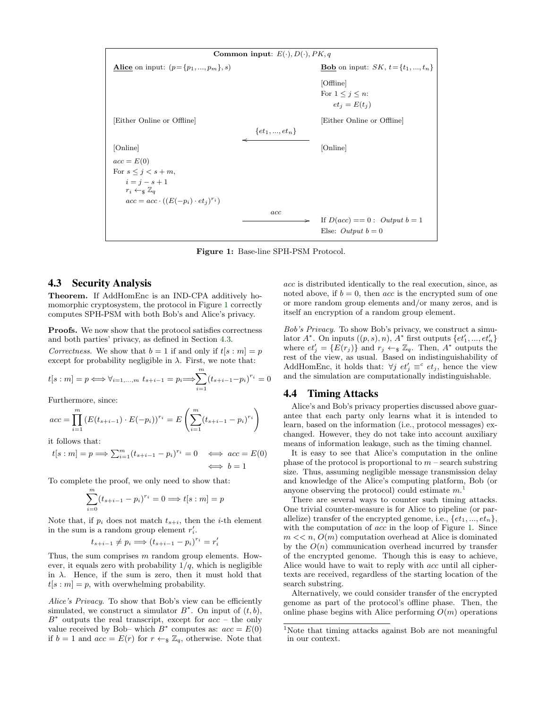<span id="page-4-0"></span>

Figure 1: Base-line SPH-PSM Protocol.

#### <span id="page-4-1"></span>4.3 Security Analysis

Theorem. If AddHomEnc is an IND-CPA additively homomorphic cryptosystem, the protocol in Figure [1](#page-4-0) correctly computes SPH-PSM with both Bob's and Alice's privacy.

Proofs. We now show that the protocol satisfies correctness and both parties' privacy, as defined in Section [4.3.](#page-4-1)

Correctness. We show that  $b = 1$  if and only if  $t[s : m] = p$ except for probability negligible in  $\lambda$ . First, we note that:

$$
t[s : m] = p \iff \forall_{i=1,...,m} \ t_{s+i-1} = p_i \Longrightarrow \sum_{i=1}^{m} (t_{s+i-1} - p_i)^{r_i} = 0
$$

Furthermore, since:

$$
acc = \prod_{i=1}^{m} (E(t_{s+i-1}) \cdot E(-p_i))^{r_i} = E\left(\sum_{i=1}^{m} (t_{s+i-1} - p_i)^{r_i}\right)
$$

it follows that:

$$
t[s:m] = p \Longrightarrow \sum_{i=1}^{m} (t_{s+i-1} - p_i)^{r_i} = 0 \iff acc = E(0)
$$
  

$$
\iff b = 1
$$

To complete the proof, we only need to show that:

$$
\sum_{i=0}^{m} (t_{s+i-1} - p_i)^{r_i} = 0 \Longrightarrow t[s:m] = p
$$

Note that, if  $p_i$  does not match  $t_{s+i}$ , then the *i*-th element in the sum is a random group element  $r'_i$ .

$$
t_{s+i-1} \neq p_i \Longrightarrow (t_{s+i-1} - p_i)^{r_i} = r'_i
$$

Thus, the sum comprises  $m$  random group elements. However, it equals zero with probability  $1/q$ , which is negligible in  $\lambda$ . Hence, if the sum is zero, then it must hold that  $t[s : m] = p$ , with overwhelming probability.

Alice's Privacy. To show that Bob's view can be efficiently simulated, we construct a simulator  $B^*$ . On input of  $(t, b)$ ,  $B^*$  outputs the real transcript, except for  $acc$  – the only value received by Bob– which  $B^*$  computes as:  $acc = E(0)$ if  $b = 1$  and  $acc = E(r)$  for  $r \leftarrow_{\mathcal{F}} \mathbb{Z}_q$ , otherwise. Note that acc is distributed identically to the real execution, since, as noted above, if  $b = 0$ , then acc is the encrypted sum of one or more random group elements and/or many zeros, and is itself an encryption of a random group element.

Bob's Privacy. To show Bob's privacy, we construct a simulator  $A^*$ . On inputs  $((p, s), n)$ ,  $A^*$  first outputs  $\{et'_1, ..., et'_n\}$ where  $et'_{j} = \{E(r_{j})\}$  and  $r_{j} \leftarrow \{E(q_{j})\}$  Then,  $A^*$  outputs the rest of the view, as usual. Based on indistinguishability of AddHomEnc, it holds that:  $\forall j \ et'_j \equiv^c et_j$ , hence the view and the simulation are computationally indistinguishable.

#### <span id="page-4-3"></span>4.4 Timing Attacks

Alice's and Bob's privacy properties discussed above guarantee that each party only learns what it is intended to learn, based on the information (i.e., protocol messages) exchanged. However, they do not take into account auxiliary means of information leakage, such as the timing channel.

It is easy to see that Alice's computation in the online phase of the protocol is proportional to  $m$  – search substring size. Thus, assuming negligible message transmission delay and knowledge of the Alice's computing platform, Bob (or anyone observing the protocol) could estimate  $m<sup>1</sup>$  $m<sup>1</sup>$  $m<sup>1</sup>$ 

There are several ways to counter such timing attacks. One trivial counter-measure is for Alice to pipeline (or parallelize) transfer of the encrypted genome, i.e.,  $\{et_1, ..., et_n\}$ , with the computation of *acc* in the loop of Figure [1.](#page-4-0) Since  $m \ll n$ ,  $O(m)$  computation overhead at Alice is dominated by the  $O(n)$  communication overhead incurred by transfer of the encrypted genome. Though this is easy to achieve, Alice would have to wait to reply with acc until all ciphertexts are received, regardless of the starting location of the search substring.

Alternatively, we could consider transfer of the encrypted genome as part of the protocol's offline phase. Then, the online phase begins with Alice performing  $O(m)$  operations

<span id="page-4-2"></span><sup>1</sup>Note that timing attacks against Bob are not meaningful in our context.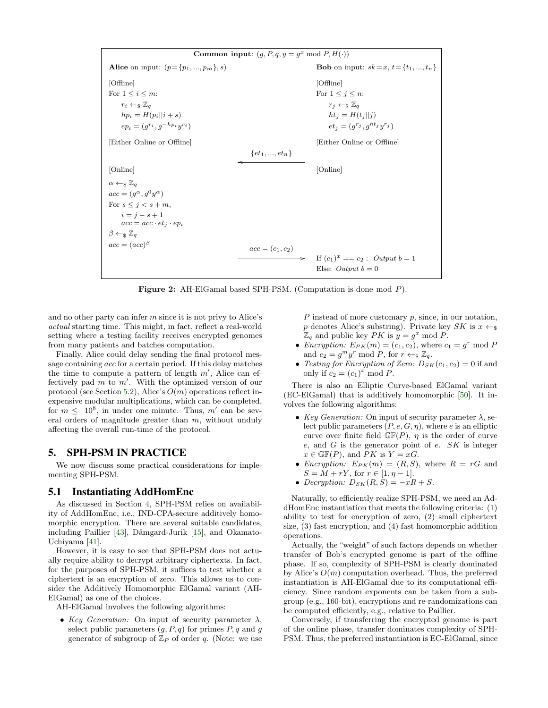<span id="page-5-1"></span>Common input:  $(g, P, q, y = g^x \mod P, H(\cdot))$ Alice on input:  $(p = \{p_1, ..., p_m\}, s)$  Bob on input:  $sk = x, t = \{t_1, ..., t_n\}$ [Offline] [Offline] For  $1 \leq i \leq m$ :<br>For  $1 \leq j \leq n$ :  $r_i \leftarrow \& \mathbb{Z}_q$   $r_j \leftarrow \& \mathbb{Z}_q$  $hp_i = H(p_i||i + s)$  ht<sub>j</sub> =  $H(t_j||j)$  $ep_i = (g^{r_i}, g^{-hp_i}y)$  $e^{r_i}$  and  $e^{r_j} = (g^{r_j}, g^{ht_j} y^{r_j})$ [Either Online or Offline] [Either Online or Offline]  $\{et_1, ..., et_n\}$ o [Online] [Online]  $\alpha \leftarrow s \mathbb{Z}_q$  $acc = (g^{\alpha}, g^{0}y^{\alpha})$ For  $s \leq j < s+m$ ,  $i = j - s + 1$  $acc = acc \cdot et_j \cdot ep_i$  $\beta \leftarrow s \mathbb{Z}_q$  $acc = (acc)^{\beta}$  $acc = (c_1, c_2)$ If  $(c_1)^x = c_2$ : Output  $b = 1$ Else: Output  $b = 0$ 

Figure 2: AH-ElGamal based SPH-PSM. (Computation is done mod P).

and no other party can infer m since it is not privy to Alice's actual starting time. This might, in fact, reflect a real-world setting where a testing facility receives encrypted genomes from many patients and batches computation.

Finally, Alice could delay sending the final protocol message containing acc for a certain period. If this delay matches the time to compute a pattern of length  $m'$ , Alice can effectively pad  $m$  to  $m'$ . With the optimized version of our protocol (see Section [5.2\)](#page-6-1), Alice's  $O(m)$  operations reflect inexpensive modular multiplications, which can be completed, for  $m \leq 10^8$ , in under one minute. Thus,  $m'$  can be several orders of magnitude greater than  $m$ , without unduly affecting the overall run-time of the protocol.

## <span id="page-5-0"></span>5. SPH-PSM IN PRACTICE

We now discuss some practical considerations for implementing SPH-PSM.

#### 5.1 Instantiating AddHomEnc

As discussed in Section [4,](#page-2-0) SPH-PSM relies on availability of AddHomEnc, i.e., IND-CPA-secure additively homomorphic encryption. There are several suitable candidates, including Paillier [\[43\]](#page-9-29), Dåmgard-Jurik [\[15\]](#page-8-12), and Okamato-Uchiyama [\[41\]](#page-9-31).

However, it is easy to see that SPH-PSM does not actually require ability to decrypt arbitrary ciphertexts. In fact, for the purposes of SPH-PSM, it suffices to test whether a ciphertext is an encryption of zero. This allows us to consider the Additively Homomorphic ElGamal variant (AH-ElGamal) as one of the choices.

AH-ElGamal involves the following algorithms:

• Key Generation: On input of security parameter  $\lambda$ , select public parameters  $(g, P, q)$  for primes  $P, q$  and g generator of subgroup of  $\mathbb{Z}_P$  of order q. (Note: we use P instead of more customary p, since, in our notation, p denotes Alice's substring). Private key  $SK$  is  $x \leftarrow s$  $\mathbb{Z}_q$  and public key PK is  $y = g^x \mod P$ .

- *Encryption:*  $E_{PK}(m) = (c_1, c_2)$ , where  $c_1 = g^r \mod P$ and  $c_2 = g^m y^r \mod P$ , for  $r \leftarrow_{\$} \mathbb{Z}_q$ .
- Testing for Encryption of Zero:  $D_{SK}(c_1, c_2) = 0$  if and only if  $c_2 = (c_1)^x \text{ mod } P$ .

There is also an Elliptic Curve-based ElGamal variant (EC-ElGamal) that is additively homomorphic [\[50\]](#page-9-32). It involves the following algorithms:

- Key Generation: On input of security parameter  $\lambda$ , select public parameters  $(P, e, G, \eta)$ , where e is an elliptic curve over finite field  $\mathbb{GF}(P)$ ,  $\eta$  is the order of curve e, and  $G$  is the generator point of e.  $SK$  is integer  $x \in \mathbb{GF}(P)$ , and PK is  $Y = xG$ .
- Encryption:  $E_{PK}(m) = (R, S)$ , where  $R = rG$  and  $S = M + rY$ , for  $r \in [1, \eta - 1]$ .
- Decryption:  $D_{SK}(R, S) = -xR + S$ .

Naturally, to efficiently realize SPH-PSM, we need an AddHomEnc instantiation that meets the following criteria: (1) ability to test for encryption of zero, (2) small ciphertext size, (3) fast encryption, and (4) fast homomorphic addition operations.

Actually, the "weight" of such factors depends on whether transfer of Bob's encrypted genome is part of the offline phase. If so, complexity of SPH-PSM is clearly dominated by Alice's  $O(m)$  computation overhead. Thus, the preferred instantiation is AH-ElGamal due to its computational efficiency. Since random exponents can be taken from a subgroup (e.g., 160-bit), encryptions and re-randomizations can be computed efficiently, e.g., relative to Paillier.

Conversely, if transferring the encrypted genome is part of the online phase, transfer dominates complexity of SPH-PSM. Thus, the preferred instantiation is EC-ElGamal, since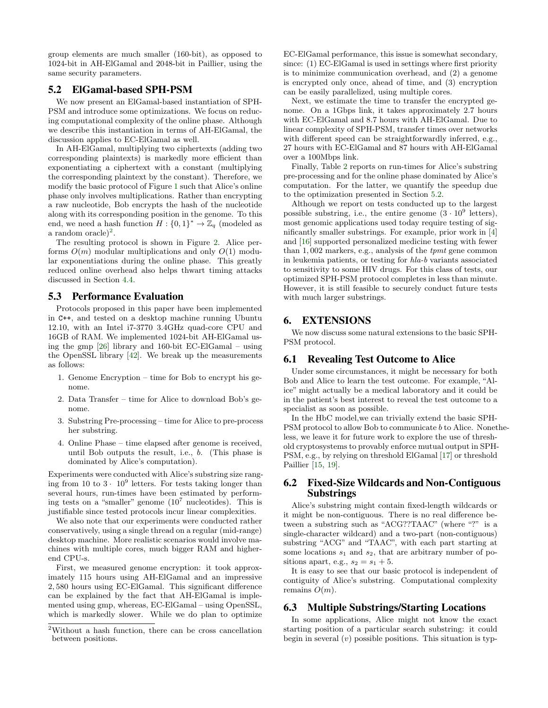group elements are much smaller (160-bit), as opposed to 1024-bit in AH-ElGamal and 2048-bit in Paillier, using the same security parameters.

#### <span id="page-6-1"></span>5.2 ElGamal-based SPH-PSM

We now present an ElGamal-based instantiation of SPH-PSM and introduce some optimizations. We focus on reducing computational complexity of the online phase. Although we describe this instantiation in terms of AH-ElGamal, the discussion applies to EC-ElGamal as well.

In AH-ElGamal, multiplying two ciphertexts (adding two corresponding plaintexts) is markedly more efficient than exponentiating a ciphertext with a constant (multiplying the corresponding plaintext by the constant). Therefore, we modify the basic protocol of Figure [1](#page-4-0) such that Alice's online phase only involves multiplications. Rather than encrypting a raw nucleotide, Bob encrypts the hash of the nucleotide along with its corresponding position in the genome. To this end, we need a hash function  $H: \{0,1\}^* \to \mathbb{Z}_q$  (modeled as a random oracle $)^2$  $)^2$ .

The resulting protocol is shown in Figure [2.](#page-5-1) Alice performs  $O(m)$  modular multiplications and only  $O(1)$  modular exponentiations during the online phase. This greatly reduced online overhead also helps thwart timing attacks discussed in Section [4.4.](#page-4-3)

#### 5.3 Performance Evaluation

Protocols proposed in this paper have been implemented in C++, and tested on a desktop machine running Ubuntu 12.10, with an Intel i7-3770 3.4GHz quad-core CPU and 16GB of RAM. We implemented 1024-bit AH-ElGamal using the gmp [\[26\]](#page-9-33) library and 160-bit EC-ElGamal – using the OpenSSL library [\[42\]](#page-9-34). We break up the measurements as follows:

- 1. Genome Encryption time for Bob to encrypt his genome.
- 2. Data Transfer time for Alice to download Bob's genome.
- 3. Substring Pre-processing time for Alice to pre-process her substring.
- 4. Online Phase time elapsed after genome is received, until Bob outputs the result, i.e., b. (This phase is dominated by Alice's computation).

Experiments were conducted with Alice's substring size ranging from 10 to  $3 \cdot 10^9$  letters. For tests taking longer than several hours, run-times have been estimated by performing tests on a "smaller" genome  $(10<sup>7</sup>$  nucleotides). This is justifiable since tested protocols incur linear complexities.

We also note that our experiments were conducted rather conservatively, using a single thread on a regular (mid-range) desktop machine. More realistic scenarios would involve machines with multiple cores, much bigger RAM and higherend CPU-s.

First, we measured genome encryption: it took approximately 115 hours using AH-ElGamal and an impressive 2, 580 hours using EC-ElGamal. This significant difference can be explained by the fact that AH-ElGamal is implemented using gmp, whereas, EC-ElGamal – using OpenSSL, which is markedly slower. While we do plan to optimize

EC-ElGamal performance, this issue is somewhat secondary, since: (1) EC-ElGamal is used in settings where first priority is to minimize communication overhead, and (2) a genome is encrypted only once, ahead of time, and (3) encryption can be easily parallelized, using multiple cores.

Next, we estimate the time to transfer the encrypted genome. On a 1Gbps link, it takes approximately 2.7 hours with EC-ElGamal and 8.7 hours with AH-ElGamal. Due to linear complexity of SPH-PSM, transfer times over networks with different speed can be straightforwardly inferred, e.g., 27 hours with EC-ElGamal and 87 hours with AH-ElGamal over a 100Mbps link.

Finally, Table [2](#page-7-1) reports on run-times for Alice's substring pre-processing and for the online phase dominated by Alice's computation. For the latter, we quantify the speedup due to the optimization presented in Section [5.2.](#page-6-1)

Although we report on tests conducted up to the largest possible substring, i.e., the entire genome  $(3 \cdot 10^9)$  letters), most genomic applications used today require testing of significantly smaller substrings. For example, prior work in [\[4\]](#page-8-1) and [\[16\]](#page-9-22) supported personalized medicine testing with fewer than 1, 002 markers, e.g., analysis of the tpmt gene common in leukemia patients, or testing for hla-b variants associated to sensitivity to some HIV drugs. For this class of tests, our optimized SPH-PSM protocol completes in less than minute. However, it is still feasible to securely conduct future tests with much larger substrings.

#### <span id="page-6-0"></span>6. EXTENSIONS

We now discuss some natural extensions to the basic SPH-PSM protocol.

#### 6.1 Revealing Test Outcome to Alice

Under some circumstances, it might be necessary for both Bob and Alice to learn the test outcome. For example, "Alice" might actually be a medical laboratory and it could be in the patient's best interest to reveal the test outcome to a specialist as soon as possible.

In the HbC model,we can trivially extend the basic SPH-PSM protocol to allow Bob to communicate b to Alice. Nonetheless, we leave it for future work to explore the use of threshold cryptosystems to provably enforce mutual output in SPH-PSM, e.g., by relying on threshold ElGamal [\[17\]](#page-9-35) or threshold Paillier [\[15,](#page-8-12) [19\]](#page-9-36).

## 6.2 Fixed-Size Wildcards and Non-Contiguous Substrings

Alice's substring might contain fixed-length wildcards or it might be non-contiguous. There is no real difference between a substring such as "ACG??TAAC" (where "?" is a single-character wildcard) and a two-part (non-contiguous) substring "ACG" and "TAAC", with each part starting at some locations  $s_1$  and  $s_2$ , that are arbitrary number of positions apart, e.g.,  $s_2 = s_1 + 5$ .

It is easy to see that our basic protocol is independent of contiguity of Alice's substring. Computational complexity remains  $O(m)$ .

#### 6.3 Multiple Substrings/Starting Locations

In some applications, Alice might not know the exact starting position of a particular search substring: it could begin in several  $(v)$  possible positions. This situation is typ-

<span id="page-6-2"></span><sup>2</sup>Without a hash function, there can be cross cancellation between positions.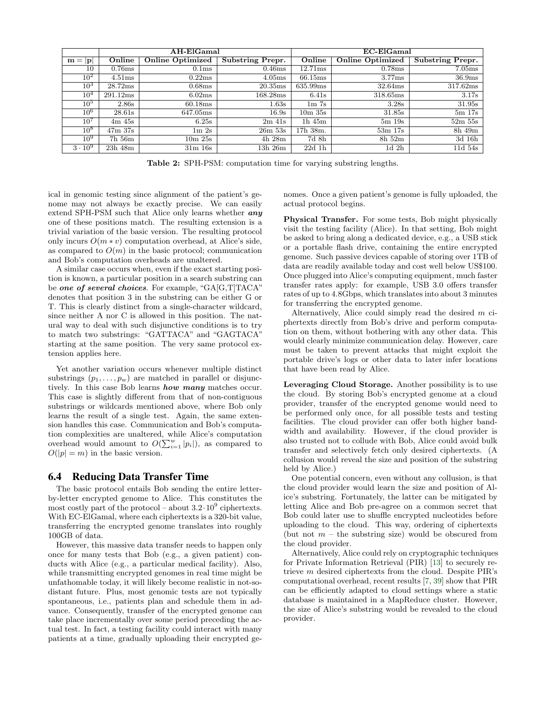<span id="page-7-1"></span>

|                 | $AH$ -El $Gamal$ |                         |                  | EC-ElGamal                    |                         |                         |
|-----------------|------------------|-------------------------|------------------|-------------------------------|-------------------------|-------------------------|
| $m =  p $       | Online           | <b>Online Optimized</b> | Substring Prepr. | Online                        | <b>Online Optimized</b> | <b>Substring Prepr.</b> |
| 10              | 0.76ms           | 0.1 <sub>ms</sub>       | 0.46ms           | 12.71ms                       | 0.78ms                  | 7.05ms                  |
| $10^2$          | 4.51ms           | 0.22ms                  | 4.05ms           | 66.15ms                       | 3.77ms                  | 36.9ms                  |
| $10^3$          | 28.72ms          | 0.68ms                  | 20.35ms          | 635.99ms                      | 32.64ms                 | 317.62ms                |
| 10 <sup>4</sup> | 291.12ms         | 6.02ms                  | 168.28ms         | 6.41s                         | 318.65ms                | 3.17s                   |
| $10^5$          | 2.86s            | 60.18ms                 | 1.63s            | 1 <sub>m</sub> 7 <sub>s</sub> | 3.28s                   | 31.95s                  |
| $10^6$          | 28.61s           | 647.05ms                | 16.9s            | $10m$ $35s$                   | 31.85s                  | $5m$ 17s                |
| $10^7$          | 4m 45s           | 6.25s                   | $2m$ 41s         | $1h$ 45 $m$                   | $5m$ 19 $s$             | $52m$ $55s$             |
| $10^{8}$        | $47m$ 37s        | 1m2s                    | $26m$ 53s        | 17h 38m.                      | $53m$ 17s               | 8h 49m                  |
| $10^9$          | 7h 56m           | 10m25s                  | 4h 28m           | 7d 8h                         | $8h\,52m$               | 3d 16h                  |
| $3 \cdot 10^9$  | 23h 48m          | 31m 16s                 | 13h 26m          | $22d$ 1h                      | 1d <sub>2h</sub>        | 11d 54s                 |

Table 2: SPH-PSM: computation time for varying substring lengths.

ical in genomic testing since alignment of the patient's genome may not always be exactly precise. We can easily extend SPH-PSM such that Alice only learns whether any one of these positions match. The resulting extension is a trivial variation of the basic version. The resulting protocol only incurs  $O(m * v)$  computation overhead, at Alice's side, as compared to  $O(m)$  in the basic protocol; communication and Bob's computation overheads are unaltered.

A similar case occurs when, even if the exact starting position is known, a particular position in a search substring can be one of several choices. For example, "GA[G,T]TACA" denotes that position 3 in the substring can be either G or T. This is clearly distinct from a single-character wildcard, since neither A nor C is allowed in this position. The natural way to deal with such disjunctive conditions is to try to match two substrings: "GATTACA" and "GAGTACA" starting at the same position. The very same protocol extension applies here.

Yet another variation occurs whenever multiple distinct substrings  $(p_1, \ldots, p_w)$  are matched in parallel or disjunctively. In this case Bob learns **how many** matches occur. This case is slightly different from that of non-contiguous substrings or wildcards mentioned above, where Bob only learns the result of a single test. Again, the same extension handles this case. Communication and Bob's computation complexities are unaltered, while Alice's computation overhead would amount to  $O(\sum_{i=1}^w |p_i|)$ , as compared to  $O(|p| = m)$  in the basic version.

#### <span id="page-7-0"></span>6.4 Reducing Data Transfer Time

The basic protocol entails Bob sending the entire letterby-letter encrypted genome to Alice. This constitutes the most costly part of the protocol – about  $3.2 \cdot 10^9$  ciphertexts. With EC-ElGamal, where each ciphertexts is a 320-bit value, transferring the encrypted genome translates into roughly 100GB of data.

However, this massive data transfer needs to happen only once for many tests that Bob (e.g., a given patient) conducts with Alice (e.g., a particular medical facility). Also, while transmitting encrypted genomes in real time might be unfathomable today, it will likely become realistic in not-sodistant future. Plus, most genomic tests are not typically spontaneous, i.e., patients plan and schedule them in advance. Consequently, transfer of the encrypted genome can take place incrementally over some period preceding the actual test. In fact, a testing facility could interact with many patients at a time, gradually uploading their encrypted genomes. Once a given patient's genome is fully uploaded, the actual protocol begins.

Physical Transfer. For some tests, Bob might physically visit the testing facility (Alice). In that setting, Bob might be asked to bring along a dedicated device, e.g., a USB stick or a portable flash drive, containing the entire encrypted genome. Such passive devices capable of storing over 1TB of data are readily available today and cost well below US\$100. Once plugged into Alice's computing equipment, much faster transfer rates apply: for example, USB 3.0 offers transfer rates of up to 4.8Gbps, which translates into about 3 minutes for transferring the encrypted genome.

Alternatively, Alice could simply read the desired m ciphertexts directly from Bob's drive and perform computation on them, without bothering with any other data. This would clearly minimize communication delay. However, care must be taken to prevent attacks that might exploit the portable drive's logs or other data to later infer locations that have been read by Alice.

Leveraging Cloud Storage. Another possibility is to use the cloud. By storing Bob's encrypted genome at a cloud provider, transfer of the encrypted genome would need to be performed only once, for all possible tests and testing facilities. The cloud provider can offer both higher bandwidth and availability. However, if the cloud provider is also trusted not to collude with Bob, Alice could avoid bulk transfer and selectively fetch only desired ciphertexts. (A collusion would reveal the size and position of the substring held by Alice.)

One potential concern, even without any collusion, is that the cloud provider would learn the size and position of Alice's substring. Fortunately, the latter can be mitigated by letting Alice and Bob pre-agree on a common secret that Bob could later use to shuffle encrypted nucleotides before uploading to the cloud. This way, ordering of ciphertexts (but not  $m$  – the substring size) would be obscured from the cloud provider.

Alternatively, Alice could rely on cryptographic techniques for Private Information Retrieval (PIR) [\[13\]](#page-8-13) to securely retrieve m desired ciphertexts from the cloud. Despite PIR's computational overhead, recent results [\[7,](#page-8-14) [39\]](#page-9-37) show that PIR can be efficiently adapted to cloud settings where a static database is maintained in a MapReduce cluster. However, the size of Alice's substring would be revealed to the cloud provider.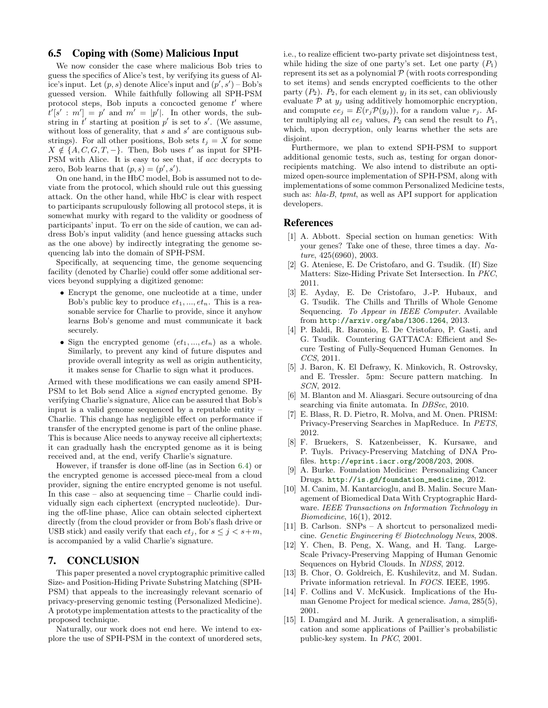#### 6.5 Coping with (Some) Malicious Input

We now consider the case where malicious Bob tries to guess the specifics of Alice's test, by verifying its guess of Alice's input. Let  $(p, s)$  denote Alice's input and  $(p', s')$  – Bob's guessed version. While faithfully following all SPH-PSM protocol steps, Bob inputs a concocted genome  $t'$  where  $t'[s': m'] = p'$  and  $m' = |p'|$ . In other words, the substring in  $t'$  starting at position  $p'$  is set to  $s'$ . (We assume, without loss of generality, that  $s$  and  $s'$  are contiguous substrings). For all other positions, Bob sets  $t_j = X$  for some  $X \notin \{A, C, G, T, -\}$ . Then, Bob uses t' as input for SPH-PSM with Alice. It is easy to see that, if acc decrypts to zero, Bob learns that  $(p, s) = (p', s')$ .

On one hand, in the HbC model, Bob is assumed not to deviate from the protocol, which should rule out this guessing attack. On the other hand, while HbC is clear with respect to participants scrupulously following all protocol steps, it is somewhat murky with regard to the validity or goodness of participants' input. To err on the side of caution, we can address Bob's input validity (and hence guessing attacks such as the one above) by indirectly integrating the genome sequencing lab into the domain of SPH-PSM.

Specifically, at sequencing time, the genome sequencing facility (denoted by Charlie) could offer some additional services beyond supplying a digitized genome:

- Encrypt the genome, one nucleotide at a time, under Bob's public key to produce  $et_1, ..., et_n$ . This is a reasonable service for Charlie to provide, since it anyhow learns Bob's genome and must communicate it back securely.
- Sign the encrypted genome  $(e t_1, ..., e t_n)$  as a whole. Similarly, to prevent any kind of future disputes and provide overall integrity as well as origin authenticity, it makes sense for Charlie to sign what it produces.

Armed with these modifications we can easily amend SPH-PSM to let Bob send Alice a *signed* encrypted genome. By verifying Charlie's signature, Alice can be assured that Bob's input is a valid genome sequenced by a reputable entity – Charlie. This change has negligible effect on performance if transfer of the encrypted genome is part of the online phase. This is because Alice needs to anyway receive all ciphertexts; it can gradually hash the encrypted genome as it is being received and, at the end, verify Charlie's signature.

However, if transfer is done off-line (as in Section [6.4\)](#page-7-0) or the encrypted genome is accessed piece-meal from a cloud provider, signing the entire encrypted genome is not useful. In this case – also at sequencing time – Charlie could individually sign each ciphertext (encrypted nucleotide). During the off-line phase, Alice can obtain selected ciphertext directly (from the cloud provider or from Bob's flash drive or USB stick) and easily verify that each  $et_j$ , for  $s \leq j < s+m$ , is accompanied by a valid Charlie's signature.

## <span id="page-8-5"></span>7. CONCLUSION

This paper presented a novel cryptographic primitive called Size- and Position-Hiding Private Substring Matching (SPH-PSM) that appeals to the increasingly relevant scenario of privacy-preserving genomic testing (Personalized Medicine). A prototype implementation attests to the practicality of the proposed technique.

Naturally, our work does not end here. We intend to explore the use of SPH-PSM in the context of unordered sets, i.e., to realize efficient two-party private set disjointness test, while hiding the size of one party's set. Let one party  $(P_1)$ represent its set as a polynomial  $P$  (with roots corresponding to set items) and sends encrypted coefficients to the other party  $(P_2)$ .  $P_2$ , for each element  $y_i$  in its set, can obliviously evaluate  $P$  at  $y_j$  using additively homomorphic encryption, and compute  $ee_j = E(r_j \mathcal{P}(y_j))$ , for a random value  $r_j$ . After multiplying all  $ee_i$  values,  $P_2$  can send the result to  $P_1$ , which, upon decryption, only learns whether the sets are disjoint.

Furthermore, we plan to extend SPH-PSM to support additional genomic tests, such as, testing for organ donorrecipients matching. We also intend to distribute an optimized open-source implementation of SPH-PSM, along with implementations of some common Personalized Medicine tests, such as: hla-B, tpmt, as well as API support for application developers.

## References

- <span id="page-8-3"></span>[1] A. Abbott. Special section on human genetics: With your genes? Take one of these, three times a day. Nature, 425(6960), 2003.
- <span id="page-8-11"></span>[2] G. Ateniese, E. De Cristofaro, and G. Tsudik. (If) Size Matters: Size-Hiding Private Set Intersection. In PKC, 2011.
- <span id="page-8-2"></span>[3] E. Ayday, E. De Cristofaro, J.-P. Hubaux, and G. Tsudik. The Chills and Thrills of Whole Genome Sequencing. To Appear in IEEE Computer. Available from <http://arxiv.org/abs/1306.1264>, 2013.
- <span id="page-8-1"></span>[4] P. Baldi, R. Baronio, E. De Cristofaro, P. Gasti, and G. Tsudik. Countering GATTACA: Efficient and Secure Testing of Fully-Sequenced Human Genomes. In CCS, 2011.
- <span id="page-8-10"></span>[5] J. Baron, K. El Defrawy, K. Minkovich, R. Ostrovsky, and E. Tressler. 5pm: Secure pattern matching. In SCN, 2012.
- <span id="page-8-6"></span>[6] M. Blanton and M. Aliasgari. Secure outsourcing of dna searching via finite automata. In *DBSec*, 2010.
- <span id="page-8-14"></span>[7] E. Blass, R. D. Pietro, R. Molva, and M. Onen. PRISM: Privacy-Preserving Searches in MapReduce. In PETS, 2012.
- <span id="page-8-7"></span>[8] F. Bruekers, S. Katzenbeisser, K. Kursawe, and P. Tuyls. Privacy-Preserving Matching of DNA Profiles. <http://eprint.iacr.org/2008/203>, 2008.
- <span id="page-8-4"></span>[9] A. Burke. Foundation Medicine: Personalizing Cancer Drugs. [http://is.gd/foundation\\_medicine](http://is.gd/foundation_medicine), 2012.
- <span id="page-8-8"></span>[10] M. Canim, M. Kantarcioglu, and B. Malin. Secure Management of Biomedical Data With Cryptographic Hardware. IEEE Transactions on Information Technology in Biomedicine, 16(1), 2012.
- <span id="page-8-15"></span>[11] B. Carlson. SNPs – A shortcut to personalized medicine. Genetic Engineering & Biotechnology News, 2008.
- <span id="page-8-9"></span>[12] Y. Chen, B. Peng, X. Wang, and H. Tang. Large-Scale Privacy-Preserving Mapping of Human Genomic Sequences on Hybrid Clouds. In NDSS, 2012.
- <span id="page-8-13"></span>[13] B. Chor, O. Goldreich, E. Kushilevitz, and M. Sudan. Private information retrieval. In FOCS. IEEE, 1995.
- <span id="page-8-0"></span>[14] F. Collins and V. McKusick. Implications of the Human Genome Project for medical science. *Jama*, 285(5), 2001.
- <span id="page-8-12"></span>[15] I. Damgård and M. Jurik. A generalisation, a simplification and some applications of Paillier's probabilistic public-key system. In PKC, 2001.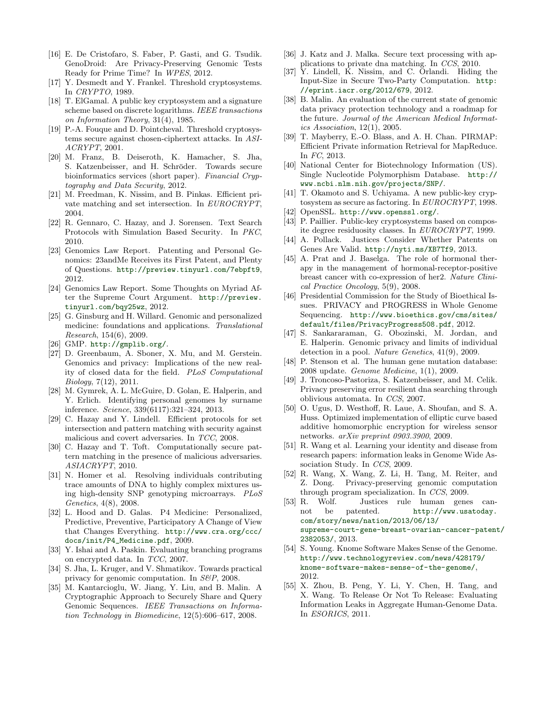- <span id="page-9-22"></span>[16] E. De Cristofaro, S. Faber, P. Gasti, and G. Tsudik. GenoDroid: Are Privacy-Preserving Genomic Tests Ready for Prime Time? In WPES, 2012.
- <span id="page-9-35"></span>[17] Y. Desmedt and Y. Frankel. Threshold cryptosystems. In CRYPTO, 1989.
- <span id="page-9-30"></span>[18] T. ElGamal. A public key cryptosystem and a signature scheme based on discrete logarithms. IEEE transactions on Information Theory, 31(4), 1985.
- <span id="page-9-36"></span>[19] P.-A. Fouque and D. Pointcheval. Threshold cryptosystems secure against chosen-ciphertext attacks. In ASI-ACRYPT, 2001.
- <span id="page-9-19"></span>[20] M. Franz, B. Deiseroth, K. Hamacher, S. Jha, S. Katzenbeisser, and H. Schröder. Towards secure bioinformatics services (short paper). Financial Cryptography and Data Security, 2012.
- <span id="page-9-21"></span>[21] M. Freedman, K. Nissim, and B. Pinkas. Efficient private matching and set intersection. In EUROCRYPT, 2004.
- <span id="page-9-24"></span>[22] R. Gennaro, C. Hazay, and J. Sorensen. Text Search Protocols with Simulation Based Security. In PKC, 2010.
- <span id="page-9-9"></span>[23] Genomics Law Report. Patenting and Personal Genomics: 23andMe Receives its First Patent, and Plenty of Questions. <http://preview.tinyurl.com/7ebpft9>, 2012.
- <span id="page-9-10"></span>[24] Genomics Law Report. Some Thoughts on Myriad After the Supreme Court Argument. [http://preview.](http://preview.tinyurl.com/bqy25wz) [tinyurl.com/bqy25wz](http://preview.tinyurl.com/bqy25wz), 2012.
- <span id="page-9-0"></span>[25] G. Ginsburg and H. Willard. Genomic and personalized medicine: foundations and applications. Translational Research, 154(6), 2009.
- <span id="page-9-33"></span>[26] GMP. <http://gmplib.org/>.
- <span id="page-9-6"></span>[27] D. Greenbaum, A. Sboner, X. Mu, and M. Gerstein. Genomics and privacy: Implications of the new reality of closed data for the field. PLoS Computational Biology, 7(12), 2011.
- <span id="page-9-1"></span>[28] M. Gymrek, A. L. McGuire, D. Golan, E. Halperin, and Y. Erlich. Identifying personal genomes by surname inference. Science, 339(6117):321–324, 2013.
- <span id="page-9-25"></span>[29] C. Hazay and Y. Lindell. Efficient protocols for set intersection and pattern matching with security against malicious and covert adversaries. In TCC, 2008.
- <span id="page-9-26"></span>[30] C. Hazay and T. Toft. Computationally secure pattern matching in the presence of malicious adversaries. ASIACRYPT, 2010.
- <span id="page-9-2"></span>[31] N. Homer et al. Resolving individuals contributing trace amounts of DNA to highly complex mixtures using high-density SNP genotyping microarrays. PLoS Genetics, 4(8), 2008.
- <span id="page-9-14"></span>[32] L. Hood and D. Galas. P4 Medicine: Personalized, Predictive, Preventive, Participatory A Change of View that Changes Everything. [http://www.cra.org/ccc/](http://www.cra.org/ccc/docs/init/P4_Medicine.pdf) [docs/init/P4\\_Medicine.pdf](http://www.cra.org/ccc/docs/init/P4_Medicine.pdf), 2009.
- <span id="page-9-27"></span>[33] Y. Ishai and A. Paskin. Evaluating branching programs on encrypted data. In TCC, 2007.
- <span id="page-9-17"></span>[34] S. Jha, L. Kruger, and V. Shmatikov. Towards practical privacy for genomic computation. In S&P, 2008.
- <span id="page-9-23"></span>[35] M. Kantarcioglu, W. Jiang, Y. Liu, and B. Malin. A Cryptographic Approach to Securely Share and Query Genomic Sequences. IEEE Transactions on Information Technology in Biomedicine, 12(5):606–617, 2008.
- <span id="page-9-20"></span>[36] J. Katz and J. Malka. Secure text processing with applications to private dna matching. In CCS, 2010.
- <span id="page-9-28"></span>[37] Y. Lindell, K. Nissim, and C. Orlandi. Hiding the Input-Size in Secure Two-Party Computation. [http:](http://eprint.iacr.org/2012/679) [//eprint.iacr.org/2012/679](http://eprint.iacr.org/2012/679), 2012.
- <span id="page-9-3"></span>[38] B. Malin. An evaluation of the current state of genomic data privacy protection technology and a roadmap for the future. Journal of the American Medical Informatics Association, 12(1), 2005.
- <span id="page-9-37"></span>[39] T. Mayberry, E.-O. Blass, and A. H. Chan. PIRMAP: Efficient Private information Retrieval for MapReduce. In FC, 2013.
- <span id="page-9-39"></span>[40] National Center for Biotechnology Information (US). Single Nucleotide Polymorphism Database. [http://](http://www.ncbi.nlm.nih.gov/projects/SNP/) [www.ncbi.nlm.nih.gov/projects/SNP/](http://www.ncbi.nlm.nih.gov/projects/SNP/).
- <span id="page-9-31"></span>[41] T. Okamoto and S. Uchiyama. A new public-key cryptosystem as secure as factoring. In EUROCRYPT, 1998.
- <span id="page-9-34"></span>[42] OpenSSL. <http://www.openssl.org/>.
- <span id="page-9-29"></span>[43] P. Paillier. Public-key cryptosystems based on composite degree residuosity classes. In EUROCRYPT, 1999.
- <span id="page-9-11"></span>[44] A. Pollack. Justices Consider Whether Patents on Genes Are Valid. <http://nyti.ms/XB7Tf9>, 2013.
- <span id="page-9-13"></span>[45] A. Prat and J. Baselga. The role of hormonal therapy in the management of hormonal-receptor-positive breast cancer with co-expression of her2. Nature Clinical Practice Oncology, 5(9), 2008.
- <span id="page-9-8"></span>[46] Presidential Commission for the Study of Bioethical Issues. PRIVACY and PROGRESS in Whole Genome Sequencing. [http://www.bioethics.gov/cms/sites/](http://www.bioethics.gov/cms/sites/default/files/PrivacyProgress508.pdf) [default/files/PrivacyProgress508.pdf](http://www.bioethics.gov/cms/sites/default/files/PrivacyProgress508.pdf), 2012.
- <span id="page-9-7"></span>[47] S. Sankararaman, G. Obozinski, M. Jordan, and E. Halperin. Genomic privacy and limits of individual detection in a pool. Nature Genetics, 41(9), 2009.
- <span id="page-9-38"></span>[48] P. Stenson et al. The human gene mutation database: 2008 update. Genome Medicine, 1(1), 2009.
- <span id="page-9-16"></span>[49] J. Troncoso-Pastoriza, S. Katzenbeisser, and M. Celik. Privacy preserving error resilient dna searching through oblivious automata. In CCS, 2007.
- <span id="page-9-32"></span>[50] O. Ugus, D. Westhoff, R. Laue, A. Shoufan, and S. A. Huss. Optimized implementation of elliptic curve based additive homomorphic encryption for wireless sensor networks. arXiv preprint 0903.3900, 2009.
- <span id="page-9-4"></span>[51] R. Wang et al. Learning your identity and disease from research papers: information leaks in Genome Wide Association Study. In CCS, 2009.
- <span id="page-9-18"></span>[52] R. Wang, X. Wang, Z. Li, H. Tang, M. Reiter, and Z. Dong. Privacy-preserving genomic computation through program specialization. In CCS, 2009.
- <span id="page-9-12"></span>[53] R. Wolf. Justices rule human genes cannot be patented. [http://www.usatoday.](http://www.usatoday.com/story/news/nation/2013/06/13/supreme-court-gene-breast-ovarian-cancer-patent/2382053/) [com/story/news/nation/2013/06/13/](http://www.usatoday.com/story/news/nation/2013/06/13/supreme-court-gene-breast-ovarian-cancer-patent/2382053/) [supreme-court-gene-breast-ovarian-cancer-patent](http://www.usatoday.com/story/news/nation/2013/06/13/supreme-court-gene-breast-ovarian-cancer-patent/2382053/)/ [2382053/](http://www.usatoday.com/story/news/nation/2013/06/13/supreme-court-gene-breast-ovarian-cancer-patent/2382053/), 2013.
- <span id="page-9-15"></span>[54] S. Young. Knome Software Makes Sense of the Genome. [http://www.technologyreview.com/news/428179/](http://www.technologyreview.com/news/428179/knome-software-makes-sense-of-the-genome/) [knome-software-makes-sense-of-the-genome/](http://www.technologyreview.com/news/428179/knome-software-makes-sense-of-the-genome/), 2012.
- <span id="page-9-5"></span>[55] X. Zhou, B. Peng, Y. Li, Y. Chen, H. Tang, and X. Wang. To Release Or Not To Release: Evaluating Information Leaks in Aggregate Human-Genome Data. In ESORICS, 2011.